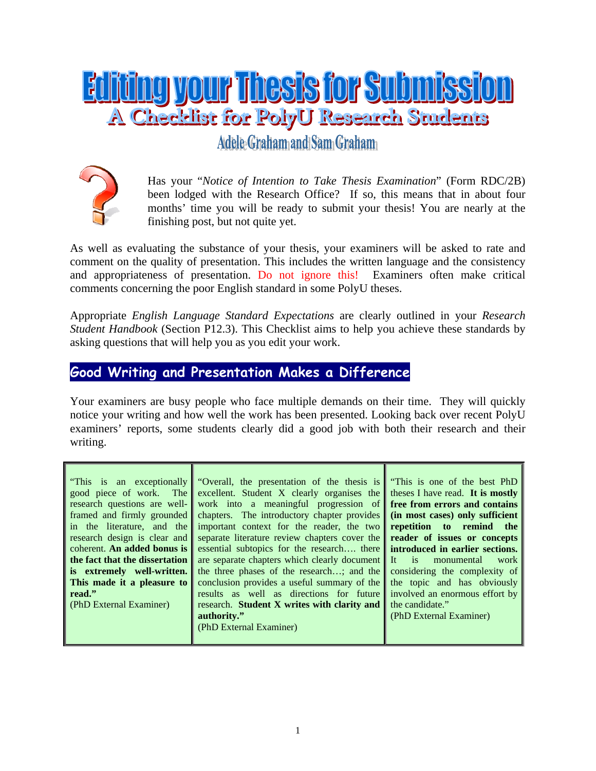

Adele Graham and Sam Graham



Has your "*Notice of Intention to Take Thesis Examination*" (Form RDC/2B) been lodged with the Research Office? If so, this means that in about four months' time you will be ready to submit your thesis! You are nearly at the finishing post, but not quite yet.

As well as evaluating the substance of your thesis, your examiners will be asked to rate and comment on the quality of presentation. This includes the written language and the consistency and appropriateness of presentation. Do not ignore this! Examiners often make critical comments concerning the poor English standard in some PolyU theses.

Appropriate *English Language Standard Expectations* are clearly outlined in your *Research Student Handbook* (Section P12.3). This Checklist aims to help you achieve these standards by asking questions that will help you as you edit your work.

## **Good Writing and Presentation Makes a Difference**

Your examiners are busy people who face multiple demands on their time. They will quickly notice your writing and how well the work has been presented. Looking back over recent PolyU examiners' reports, some students clearly did a good job with both their research and their writing.

| "This is an exceptionally"<br>good piece of work. The<br>research questions are well-<br>framed and firmly grounded<br>in the literature, and the | "Overall, the presentation of the thesis is<br>excellent. Student X clearly organises the<br>work into a meaningful progression of<br>chapters. The introductory chapter provides<br>important context for the reader, the two | "This is one of the best PhD<br>theses I have read. It is mostly<br>free from errors and contains<br>(in most cases) only sufficient<br>repetition to remind the |
|---------------------------------------------------------------------------------------------------------------------------------------------------|--------------------------------------------------------------------------------------------------------------------------------------------------------------------------------------------------------------------------------|------------------------------------------------------------------------------------------------------------------------------------------------------------------|
| research design is clear and                                                                                                                      | separate literature review chapters cover the                                                                                                                                                                                  | reader of issues or concepts                                                                                                                                     |
| coherent. An added bonus is<br>the fact that the dissertation                                                                                     | essential subtopics for the research there<br>are separate chapters which clearly document                                                                                                                                     | introduced in earlier sections.<br>$It$ is<br>monumental<br>work                                                                                                 |
| is extremely well-written.<br>This made it a pleasure to                                                                                          | the three phases of the research; and the<br>conclusion provides a useful summary of the                                                                                                                                       | considering the complexity of<br>the topic and has obviously                                                                                                     |
| read."<br>(PhD External Examiner)                                                                                                                 | results as well as directions for future<br>research. Student X writes with clarity and<br>authority."                                                                                                                         | involved an enormous effort by<br>the candidate."<br>(PhD External Examiner)                                                                                     |
|                                                                                                                                                   | (PhD External Examiner)                                                                                                                                                                                                        |                                                                                                                                                                  |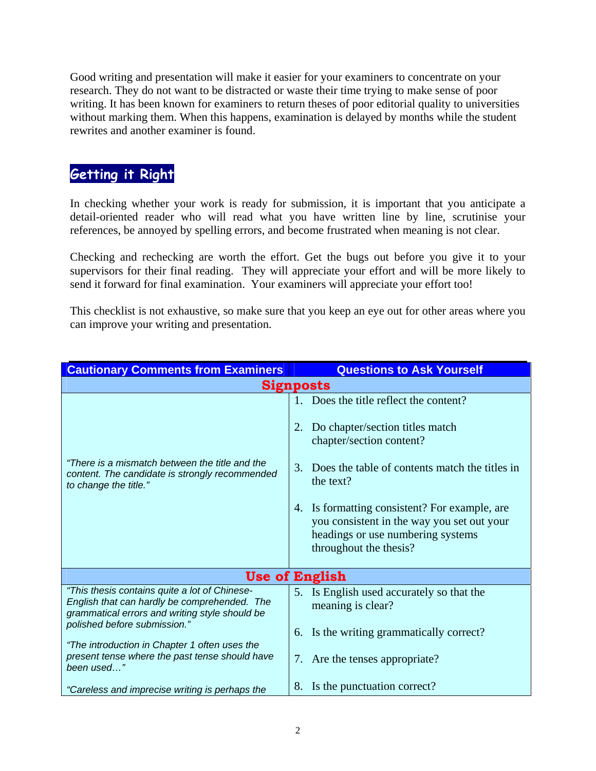Good writing and presentation will make it easier for your examiners to concentrate on your research. They do not want to be distracted or waste their time trying to make sense of poor writing. It has been known for examiners to return theses of poor editorial quality to universities without marking them. When this happens, examination is delayed by months while the student rewrites and another examiner is found.

## **Getting it Right**

In checking whether your work is ready for submission, it is important that you anticipate a detail-oriented reader who will read what you have written line by line, scrutinise your references, be annoyed by spelling errors, and become frustrated when meaning is not clear.

Checking and rechecking are worth the effort. Get the bugs out before you give it to your supervisors for their final reading. They will appreciate your effort and will be more likely to send it forward for final examination. Your examiners will appreciate your effort too!

This checklist is not exhaustive, so make sure that you keep an eye out for other areas where you can improve your writing and presentation.

| <b>Cautionary Comments from Examiners</b>                                                                                                                                       | <b>Questions to Ask Yourself</b>                                                                                                                                                                                                                                                                                                               |  |  |
|---------------------------------------------------------------------------------------------------------------------------------------------------------------------------------|------------------------------------------------------------------------------------------------------------------------------------------------------------------------------------------------------------------------------------------------------------------------------------------------------------------------------------------------|--|--|
| <b>Signposts</b>                                                                                                                                                                |                                                                                                                                                                                                                                                                                                                                                |  |  |
| "There is a mismatch between the title and the<br>content. The candidate is strongly recommended<br>to change the title."                                                       | 1. Does the title reflect the content?<br>Do chapter/section titles match<br>2.<br>chapter/section content?<br>Does the table of contents match the titles in<br>3.<br>the text?<br>4. Is formatting consistent? For example, are<br>you consistent in the way you set out your<br>headings or use numbering systems<br>throughout the thesis? |  |  |
| <b>Use of English</b>                                                                                                                                                           |                                                                                                                                                                                                                                                                                                                                                |  |  |
| "This thesis contains quite a lot of Chinese-<br>English that can hardly be comprehended. The<br>grammatical errors and writing style should be<br>polished before submission." | 5. Is English used accurately so that the<br>meaning is clear?<br>Is the writing grammatically correct?<br>6.                                                                                                                                                                                                                                  |  |  |
| "The introduction in Chapter 1 often uses the<br>present tense where the past tense should have<br>been used"                                                                   | 7. Are the tenses appropriate?                                                                                                                                                                                                                                                                                                                 |  |  |
| "Careless and imprecise writing is perhaps the                                                                                                                                  | Is the punctuation correct?<br>8.                                                                                                                                                                                                                                                                                                              |  |  |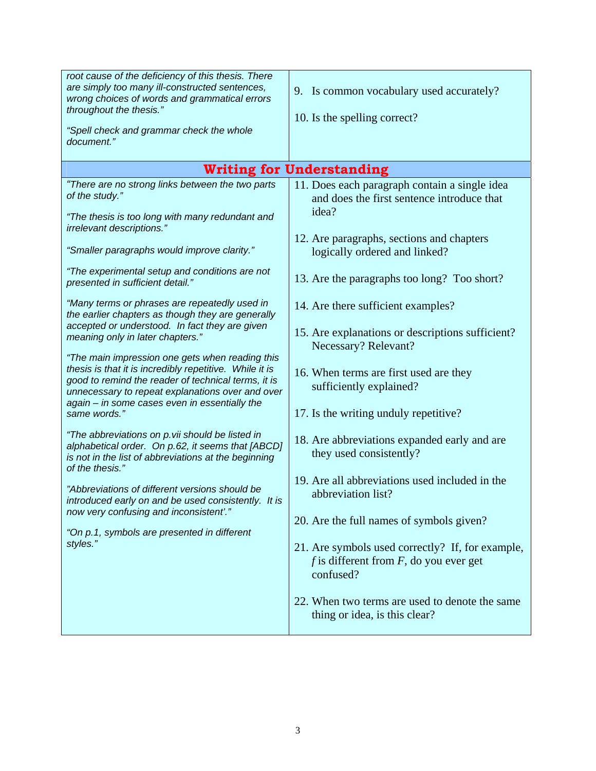| root cause of the deficiency of this thesis. There<br>are simply too many ill-constructed sentences,<br>wrong choices of words and grammatical errors<br>throughout the thesis."<br>"Spell check and grammar check the whole<br>document."                             | 9. Is common vocabulary used accurately?<br>10. Is the spelling correct?                                   |  |  |  |
|------------------------------------------------------------------------------------------------------------------------------------------------------------------------------------------------------------------------------------------------------------------------|------------------------------------------------------------------------------------------------------------|--|--|--|
| <b>Writing for Understanding</b>                                                                                                                                                                                                                                       |                                                                                                            |  |  |  |
| "There are no strong links between the two parts<br>of the study."                                                                                                                                                                                                     | 11. Does each paragraph contain a single idea<br>and does the first sentence introduce that<br>idea?       |  |  |  |
| "The thesis is too long with many redundant and<br>irrelevant descriptions."                                                                                                                                                                                           |                                                                                                            |  |  |  |
| "Smaller paragraphs would improve clarity."                                                                                                                                                                                                                            | 12. Are paragraphs, sections and chapters<br>logically ordered and linked?                                 |  |  |  |
| "The experimental setup and conditions are not<br>presented in sufficient detail."                                                                                                                                                                                     | 13. Are the paragraphs too long? Too short?                                                                |  |  |  |
| "Many terms or phrases are repeatedly used in<br>the earlier chapters as though they are generally                                                                                                                                                                     | 14. Are there sufficient examples?                                                                         |  |  |  |
| accepted or understood. In fact they are given<br>meaning only in later chapters."                                                                                                                                                                                     | 15. Are explanations or descriptions sufficient?<br>Necessary? Relevant?                                   |  |  |  |
| "The main impression one gets when reading this<br>thesis is that it is incredibly repetitive. While it is<br>good to remind the reader of technical terms, it is<br>unnecessary to repeat explanations over and over<br>again - in some cases even in essentially the | 16. When terms are first used are they<br>sufficiently explained?                                          |  |  |  |
| same words."                                                                                                                                                                                                                                                           | 17. Is the writing unduly repetitive?                                                                      |  |  |  |
| "The abbreviations on p.vii should be listed in<br>alphabetical order. On p.62, it seems that [ABCD]<br>is not in the list of abbreviations at the beginning<br>of the thesis."                                                                                        | 18. Are abbreviations expanded early and are<br>they used consistently?                                    |  |  |  |
| "Abbreviations of different versions should be<br>introduced early on and be used consistently. It is                                                                                                                                                                  | 19. Are all abbreviations used included in the<br>abbreviation list?                                       |  |  |  |
| now very confusing and inconsistent'."<br>"On p.1, symbols are presented in different                                                                                                                                                                                  | 20. Are the full names of symbols given?                                                                   |  |  |  |
| styles."                                                                                                                                                                                                                                                               | 21. Are symbols used correctly? If, for example,<br>f is different from $F$ , do you ever get<br>confused? |  |  |  |
|                                                                                                                                                                                                                                                                        | 22. When two terms are used to denote the same<br>thing or idea, is this clear?                            |  |  |  |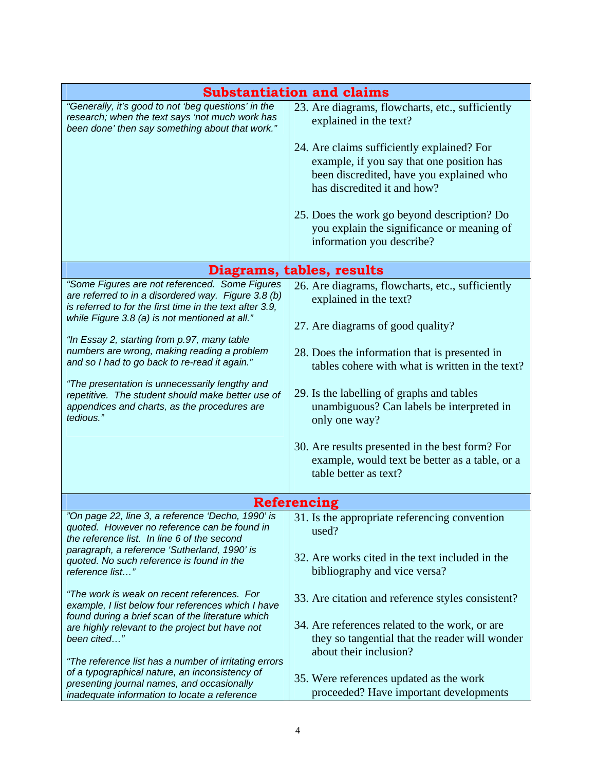| <b>Substantiation and claims</b>                                                                                                                                                                                                                                                                                                                                                                                                                                                                                                       |                                                                                                                                                                                                                                                                                                                                                                                                                                                              |  |  |  |
|----------------------------------------------------------------------------------------------------------------------------------------------------------------------------------------------------------------------------------------------------------------------------------------------------------------------------------------------------------------------------------------------------------------------------------------------------------------------------------------------------------------------------------------|--------------------------------------------------------------------------------------------------------------------------------------------------------------------------------------------------------------------------------------------------------------------------------------------------------------------------------------------------------------------------------------------------------------------------------------------------------------|--|--|--|
| "Generally, it's good to not 'beg questions' in the<br>research; when the text says 'not much work has<br>been done' then say something about that work."                                                                                                                                                                                                                                                                                                                                                                              | 23. Are diagrams, flowcharts, etc., sufficiently<br>explained in the text?<br>24. Are claims sufficiently explained? For<br>example, if you say that one position has<br>been discredited, have you explained who<br>has discredited it and how?<br>25. Does the work go beyond description? Do<br>you explain the significance or meaning of<br>information you describe?                                                                                   |  |  |  |
| Diagrams, tables, results                                                                                                                                                                                                                                                                                                                                                                                                                                                                                                              |                                                                                                                                                                                                                                                                                                                                                                                                                                                              |  |  |  |
| "Some Figures are not referenced. Some Figures<br>are referred to in a disordered way. Figure 3.8 (b)<br>is referred to for the first time in the text after 3.9,<br>while Figure 3.8 (a) is not mentioned at all."<br>"In Essay 2, starting from p.97, many table<br>numbers are wrong, making reading a problem<br>and so I had to go back to re-read it again."<br>"The presentation is unnecessarily lengthy and<br>repetitive. The student should make better use of<br>appendices and charts, as the procedures are<br>tedious." | 26. Are diagrams, flowcharts, etc., sufficiently<br>explained in the text?<br>27. Are diagrams of good quality?<br>28. Does the information that is presented in<br>tables cohere with what is written in the text?<br>29. Is the labelling of graphs and tables<br>unambiguous? Can labels be interpreted in<br>only one way?<br>30. Are results presented in the best form? For<br>example, would text be better as a table, or a<br>table better as text? |  |  |  |
| <b>Referencing</b>                                                                                                                                                                                                                                                                                                                                                                                                                                                                                                                     |                                                                                                                                                                                                                                                                                                                                                                                                                                                              |  |  |  |
| "On page 22, line 3, a reference 'Decho, 1990' is<br>quoted. However no reference can be found in<br>the reference list. In line 6 of the second<br>paragraph, a reference 'Sutherland, 1990' is<br>quoted. No such reference is found in the<br>reference list"                                                                                                                                                                                                                                                                       | 31. Is the appropriate referencing convention<br>used?<br>32. Are works cited in the text included in the<br>bibliography and vice versa?                                                                                                                                                                                                                                                                                                                    |  |  |  |
| "The work is weak on recent references. For<br>example, I list below four references which I have<br>found during a brief scan of the literature which<br>are highly relevant to the project but have not<br>been cited"<br>"The reference list has a number of irritating errors<br>of a typographical nature, an inconsistency of<br>presenting journal names, and occasionally<br>inadequate information to locate a reference                                                                                                      | 33. Are citation and reference styles consistent?<br>34. Are references related to the work, or are<br>they so tangential that the reader will wonder<br>about their inclusion?<br>35. Were references updated as the work<br>proceeded? Have important developments                                                                                                                                                                                         |  |  |  |